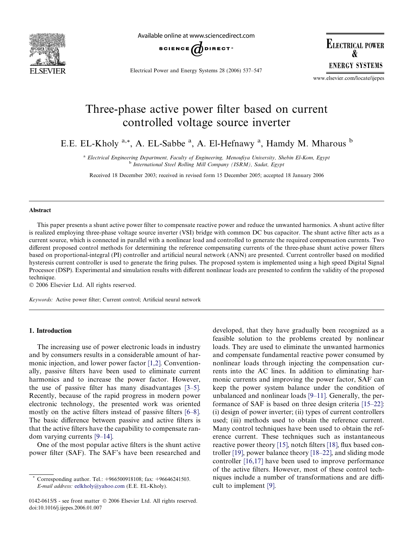

Available online at www.sciencedirect.com



Electrical Power and Energy Systems 28 (2006) 537–547

**ELECTRICAL POWER R ENERGY SYSTEMS** 

www.elsevier.com/locate/ijepes

# Three-phase active power filter based on current controlled voltage source inverter

E.E. EL-Kholy <sup>a,\*</sup>, A. EL-Sabbe <sup>a</sup>, A. El-Hefnawy <sup>a</sup>, Hamdy M. Mharous <sup>b</sup>

<sup>a</sup> Electrical Engineering Department, Faculty of Engineering, Menoufiya University, Shebin El-Kom, Egypt b International Steel Rolling Mill Company (ISRM), Sadat, Egypt

Received 18 December 2003; received in revised form 15 December 2005; accepted 18 January 2006

### Abstract

This paper presents a shunt active power filter to compensate reactive power and reduce the unwanted harmonics. A shunt active filter is realized employing three-phase voltage source inverter (VSI) bridge with common DC bus capacitor. The shunt active filter acts as a current source, which is connected in parallel with a nonlinear load and controlled to generate the required compensation currents. Two different proposed control methods for determining the reference compensating currents of the three-phase shunt active power filters based on proportional-integral (PI) controller and artificial neural network (ANN) are presented. Current controller based on modified hysteresis current controller is used to generate the firing pulses. The proposed system is implemented using a high speed Digital Signal Processor (DSP). Experimental and simulation results with different nonlinear loads are presented to confirm the validity of the proposed technique.

© 2006 Elsevier Ltd. All rights reserved.

Keywords: Active power filter; Current control; Artificial neural network

### 1. Introduction

The increasing use of power electronic loads in industry and by consumers results in a considerable amount of harmonic injection, and lower power factor [\[1,2\].](#page--1-0) Conventionally, passive filters have been used to eliminate current harmonics and to increase the power factor. However, the use of passive filter has many disadvantages [\[3–5\].](#page--1-0) Recently, because of the rapid progress in modern power electronic technology, the presented work was oriented mostly on the active filters instead of passive filters [\[6–8\].](#page--1-0) The basic difference between passive and active filters is that the active filters have the capability to compensate random varying currents [\[9–14\].](#page--1-0)

One of the most popular active filters is the shunt active power filter (SAF). The SAF's have been researched and developed, that they have gradually been recognized as a feasible solution to the problems created by nonlinear loads. They are used to eliminate the unwanted harmonics and compensate fundamental reactive power consumed by nonlinear loads through injecting the compensation currents into the AC lines. In addition to eliminating harmonic currents and improving the power factor, SAF can keep the power system balance under the condition of unbalanced and nonlinear loads [\[9–11\].](#page--1-0) Generally, the performance of SAF is based on three design criteria [\[15–22\]:](#page--1-0) (i) design of power inverter; (ii) types of current controllers used; (iii) methods used to obtain the reference current. Many control techniques have been used to obtain the reference current. These techniques such as instantaneous reactive power theory [\[15\],](#page--1-0) notch filters [\[18\],](#page--1-0) flux based controller [\[19\],](#page--1-0) power balance theory [\[18–22\],](#page--1-0) and sliding mode controller [\[16,17\]](#page--1-0) have been used to improve performance of the active filters. However, most of these control techniques include a number of transformations and are difficult to implement [\[9\].](#page--1-0)

Corresponding author. Tel.: +966500918108; fax: +96646241503. E-mail address: [eelkholy@yahoo.com](mailto:eelkholy@yahoo.com) (E.E. EL-Kholy).

<sup>0142-0615/\$ -</sup> see front matter © 2006 Elsevier Ltd. All rights reserved. doi:10.1016/j.ijepes.2006.01.007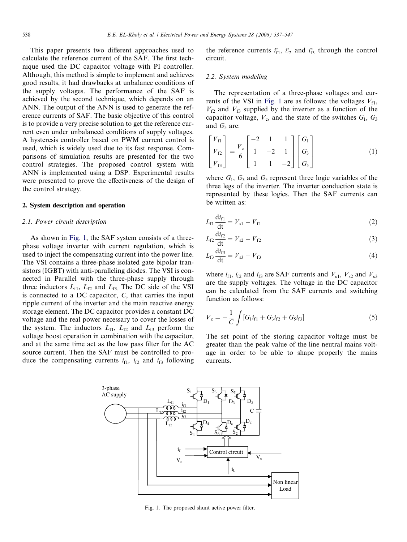This paper presents two different approaches used to calculate the reference current of the SAF. The first technique used the DC capacitor voltage with PI controller. Although, this method is simple to implement and achieves good results, it had drawbacks at unbalance conditions of the supply voltages. The performance of the SAF is achieved by the second technique, which depends on an ANN. The output of the ANN is used to generate the reference currents of SAF. The basic objective of this control is to provide a very precise solution to get the reference current even under unbalanced conditions of supply voltages. A hysteresis controller based on PWM current control is used, which is widely used due to its fast response. Comparisons of simulation results are presented for the two control strategies. The proposed control system with ANN is implemented using a DSP. Experimental results were presented to prove the effectiveness of the design of the control strategy.

#### 2. System description and operation

## 2.1. Power circuit description

As shown in Fig. 1, the SAF system consists of a threephase voltage inverter with current regulation, which is used to inject the compensating current into the power line. The VSI contains a three-phase isolated gate bipolar transistors (IGBT) with anti-paralleling diodes. The VSI is connected in Parallel with the three-phase supply through three inductors  $L_{f1}$ ,  $L_{f2}$  and  $L_{f3}$ . The DC side of the VSI is connected to a DC capacitor, C, that carries the input ripple current of the inverter and the main reactive energy storage element. The DC capacitor provides a constant DC voltage and the real power necessary to cover the losses of the system. The inductors  $L_{f1}$ ,  $L_{f2}$  and  $L_{f3}$  perform the voltage boost operation in combination with the capacitor, and at the same time act as the low pass filter for the AC source current. Then the SAF must be controlled to produce the compensating currents  $i_{f1}$ ,  $i_{f2}$  and  $i_{f3}$  following the reference currents  $i_{f1}^*$ ,  $i_{f2}^*$  and  $i_{f3}^*$  through the control circuit.

## 2.2. System modeling

The representation of a three-phase voltages and currents of the VSI in Fig. 1 are as follows: the voltages  $V_{f1}$ ,  $V_{f2}$  and  $V_{f3}$  supplied by the inverter as a function of the capacitor voltage,  $V_c$ , and the state of the switches  $G_1$ ,  $G_3$ and  $G_5$  are:

$$
\begin{bmatrix} V_{f1} \\ V_{f2} \\ V_{f3} \end{bmatrix} = \frac{V_c}{6} \begin{bmatrix} -2 & 1 & 1 \\ 1 & -2 & 1 \\ 1 & 1 & -2 \end{bmatrix} \begin{bmatrix} G_1 \\ G_3 \\ G_5 \end{bmatrix}
$$
 (1)

where  $G_1$ ,  $G_3$  and  $G_5$  represent three logic variables of the three legs of the inverter. The inverter conduction state is represented by these logics. Then the SAF currents can be written as:

$$
L_{f1} \frac{di_{f1}}{dt} = V_{s1} - V_{f1}
$$
 (2)

$$
L_{f2} \frac{di_{f2}}{dt} = V_{s2} - V_{f2}
$$
 (3)

$$
L_{f3}\frac{di_{f3}}{dt} = V_{s3} - V_{f3}
$$
 (4)

where  $i_{f1}$ ,  $i_{f2}$  and  $i_{f3}$  are SAF currents and  $V_{s1}$ ,  $V_{s2}$  and  $V_{s3}$ are the supply voltages. The voltage in the DC capacitor can be calculated from the SAF currents and switching function as follows:

$$
V_{\rm c} = -\frac{1}{C} \int [G_1 i_{f1} + G_3 i_{f2} + G_5 i_{f3}] \tag{5}
$$

The set point of the storing capacitor voltage must be greater than the peak value of the line neutral mains voltage in order to be able to shape properly the mains currents.



Fig. 1. The proposed shunt active power filter.